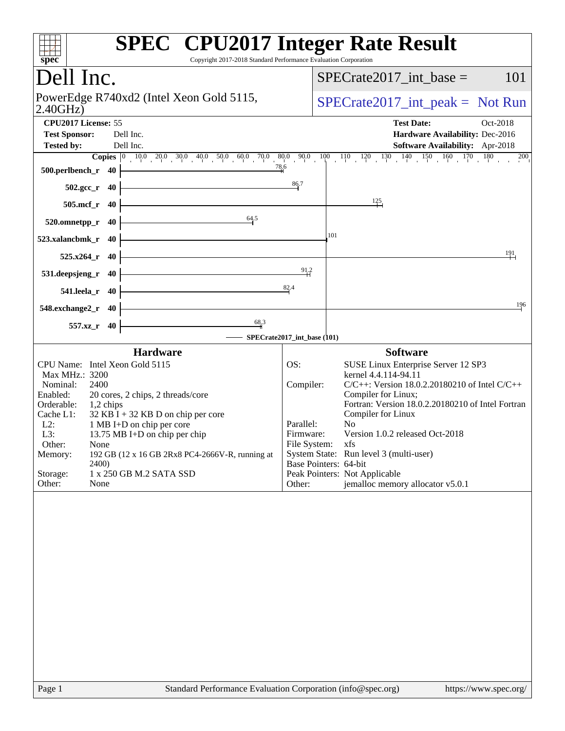| $spec^*$                                                                                                                                       | <b>SPEC<sup>®</sup></b> CPU2017 Integer Rate Result<br>Copyright 2017-2018 Standard Performance Evaluation Corporation                                            |
|------------------------------------------------------------------------------------------------------------------------------------------------|-------------------------------------------------------------------------------------------------------------------------------------------------------------------|
| Dell Inc.                                                                                                                                      | $SPECrate2017\_int\_base =$<br>101                                                                                                                                |
| PowerEdge R740xd2 (Intel Xeon Gold 5115,<br>2.40GHz                                                                                            | $SPECrate2017\_int\_peak = Not Run$                                                                                                                               |
| CPU2017 License: 55<br><b>Test Sponsor:</b><br>Dell Inc.<br>Dell Inc.<br><b>Tested by:</b>                                                     | <b>Test Date:</b><br>Oct-2018<br>Hardware Availability: Dec-2016<br>Software Availability: Apr-2018                                                               |
|                                                                                                                                                | <b>Copies</b> $\begin{bmatrix} 0 & 10 & 0 & 20 & 0 & 30 & 40 & 50 & 60 & 70 & 0 & 80 & 90 & 10 & 11 & 12 & 130 & 140 & 150 & 160 & 170 & 180 & 200 \end{bmatrix}$ |
| 78.6<br>$500.$ perlbench_r $40$ $\overline{\phantom{a}}$                                                                                       |                                                                                                                                                                   |
| <u> 1989 - Johann Barn, mars ar breist fan de Amerikaansk kommunent fan de Amerikaanske kommunent fan de Amerikaa</u><br>$502.\text{sec}_r$ 40 | 86.7                                                                                                                                                              |
| <u> 1980 - Johann Stoff, deutscher Stoff, der Stoff, der Stoff, der Stoff, der Stoff, der Stoff, der Stoff, der S</u><br>505.mcf_r 40          | $\frac{125}{ }$                                                                                                                                                   |
| 64.5<br>$520.$ omnetpp_r 40                                                                                                                    |                                                                                                                                                                   |
| 523.xalancbmk_r 40                                                                                                                             | 101                                                                                                                                                               |
| $525.x264_r$ 40                                                                                                                                | 191                                                                                                                                                               |
| <u> 1989 - Johann Barn, mars ann an t-Amhain Aonaich an t-Aonaich an t-Aonaich ann an t-Aonaich ann an t-Aonaich</u><br>531.deepsjeng_r 40     | 91.2                                                                                                                                                              |
| 541.leela_r 40                                                                                                                                 | 82.4                                                                                                                                                              |
| <u> 1989 - Johann Barn, mars ann an t-Amhair an t-Amhair an t-Amhair an t-Amhair an t-Amhair an t-Amhair an t-Amh</u><br>548.exchange2_r 40    | 196                                                                                                                                                               |
| $\frac{68.3}{4}$<br>557.xz_r 40                                                                                                                | - SPECrate2017_int_base (101)                                                                                                                                     |
| Hardware                                                                                                                                       | <b>Software</b>                                                                                                                                                   |
| CPU Name: Intel Xeon Gold 5115                                                                                                                 | OS:<br>SUSE Linux Enterprise Server 12 SP3                                                                                                                        |
| Max MHz.: 3200                                                                                                                                 | kernel 4.4.114-94.11                                                                                                                                              |
| Nominal:<br>2400<br>Enabled:<br>20 cores, 2 chips, 2 threads/core                                                                              | $C/C++$ : Version 18.0.2.20180210 of Intel $C/C++$<br>Compiler:<br>Compiler for Linux;                                                                            |
| Orderable:<br>$1,2$ chips                                                                                                                      | Fortran: Version 18.0.2.20180210 of Intel Fortran                                                                                                                 |
| $32$ KB I + 32 KB D on chip per core<br>Cache L1:                                                                                              | Compiler for Linux                                                                                                                                                |
| $L2$ :<br>1 MB I+D on chip per core<br>L3:<br>13.75 MB I+D on chip per chip                                                                    | No<br>Parallel:<br>Version 1.0.2 released Oct-2018<br>Firmware:                                                                                                   |
| Other:<br>None                                                                                                                                 | File System: xfs                                                                                                                                                  |
| 192 GB (12 x 16 GB 2Rx8 PC4-2666V-R, running at<br>Memory:                                                                                     | System State: Run level 3 (multi-user)                                                                                                                            |
| 2400)                                                                                                                                          | Base Pointers: 64-bit                                                                                                                                             |
| Storage:<br>1 x 250 GB M.2 SATA SSD<br>Other:<br>None                                                                                          | Peak Pointers: Not Applicable<br>jemalloc memory allocator v5.0.1<br>Other:                                                                                       |
|                                                                                                                                                |                                                                                                                                                                   |
| Page 1                                                                                                                                         | Standard Performance Evaluation Corporation (info@spec.org)<br>https://www.spec.org/                                                                              |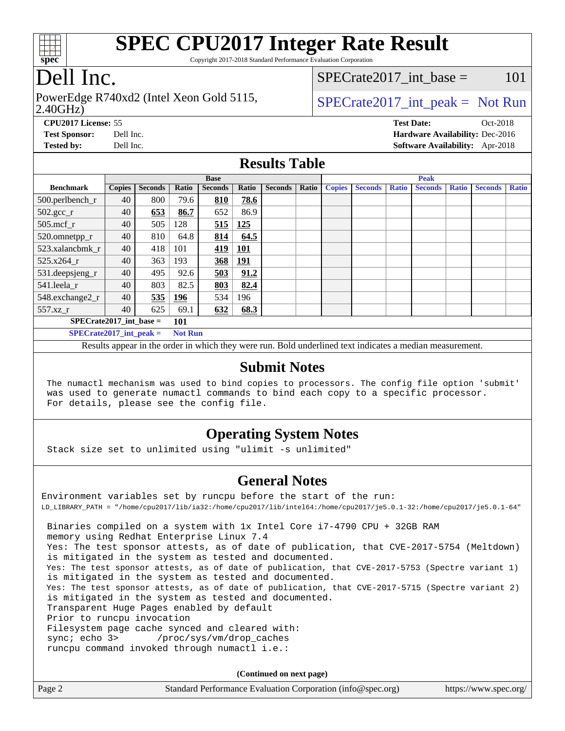

Copyright 2017-2018 Standard Performance Evaluation Corporation

# Dell Inc.

2.40GHz) PowerEdge R740xd2 (Intel Xeon Gold 5115,  $\vert$  [SPECrate2017\\_int\\_peak =](http://www.spec.org/auto/cpu2017/Docs/result-fields.html#SPECrate2017intpeak) Not Run

SPECrate2017 int\_base =  $101$ 

**[CPU2017 License:](http://www.spec.org/auto/cpu2017/Docs/result-fields.html#CPU2017License)** 55 **[Test Date:](http://www.spec.org/auto/cpu2017/Docs/result-fields.html#TestDate)** Oct-2018 **[Test Sponsor:](http://www.spec.org/auto/cpu2017/Docs/result-fields.html#TestSponsor)** Dell Inc. **[Hardware Availability:](http://www.spec.org/auto/cpu2017/Docs/result-fields.html#HardwareAvailability)** Dec-2016 **[Tested by:](http://www.spec.org/auto/cpu2017/Docs/result-fields.html#Testedby)** Dell Inc. **[Software Availability:](http://www.spec.org/auto/cpu2017/Docs/result-fields.html#SoftwareAvailability)** Apr-2018

### **[Results Table](http://www.spec.org/auto/cpu2017/Docs/result-fields.html#ResultsTable)**

|                           | <b>Base</b>   |                |                |                | <b>Peak</b> |                |       |               |                |              |                |              |                |              |
|---------------------------|---------------|----------------|----------------|----------------|-------------|----------------|-------|---------------|----------------|--------------|----------------|--------------|----------------|--------------|
| <b>Benchmark</b>          | <b>Copies</b> | <b>Seconds</b> | Ratio          | <b>Seconds</b> | Ratio       | <b>Seconds</b> | Ratio | <b>Copies</b> | <b>Seconds</b> | <b>Ratio</b> | <b>Seconds</b> | <b>Ratio</b> | <b>Seconds</b> | <b>Ratio</b> |
| 500.perlbench_r           | 40            | 800            | 79.6           | 810            | 78.6        |                |       |               |                |              |                |              |                |              |
| $502.\text{sec}\text{r}$  | 40            | 653            | 86.7           | 652            | 86.9        |                |       |               |                |              |                |              |                |              |
| $505$ .mcf $r$            | 40            | 505            | 128            | 515            | 125         |                |       |               |                |              |                |              |                |              |
| 520.omnetpp_r             | 40            | 810            | 64.8           | 814            | 64.5        |                |       |               |                |              |                |              |                |              |
| 523.xalancbmk r           | 40            | 418            | 101            | <u>419</u>     | <b>101</b>  |                |       |               |                |              |                |              |                |              |
| 525.x264 r                | 40            | 363            | 193            | 368            | <u>191</u>  |                |       |               |                |              |                |              |                |              |
| 531.deepsjeng_r           | 40            | 495            | 92.6           | 503            | 91.2        |                |       |               |                |              |                |              |                |              |
| 541.leela r               | 40            | 803            | 82.5           | 803            | 82.4        |                |       |               |                |              |                |              |                |              |
| 548.exchange2_r           | 40            | 535            | <u>196</u>     | 534            | 196         |                |       |               |                |              |                |              |                |              |
| 557.xz                    | 40            | 625            | 69.1           | 632            | 68.3        |                |       |               |                |              |                |              |                |              |
| $SPECrate2017$ int base = |               |                | 101            |                |             |                |       |               |                |              |                |              |                |              |
| $SPECrate2017$ int peak = |               |                | <b>Not Run</b> |                |             |                |       |               |                |              |                |              |                |              |

Results appear in the [order in which they were run](http://www.spec.org/auto/cpu2017/Docs/result-fields.html#RunOrder). Bold underlined text [indicates a median measurement.](http://www.spec.org/auto/cpu2017/Docs/result-fields.html#Median)

#### **[Submit Notes](http://www.spec.org/auto/cpu2017/Docs/result-fields.html#SubmitNotes)**

 The numactl mechanism was used to bind copies to processors. The config file option 'submit' was used to generate numactl commands to bind each copy to a specific processor. For details, please see the config file.

### **[Operating System Notes](http://www.spec.org/auto/cpu2017/Docs/result-fields.html#OperatingSystemNotes)**

Stack size set to unlimited using "ulimit -s unlimited"

### **[General Notes](http://www.spec.org/auto/cpu2017/Docs/result-fields.html#GeneralNotes)**

Environment variables set by runcpu before the start of the run: LD\_LIBRARY\_PATH = "/home/cpu2017/lib/ia32:/home/cpu2017/lib/intel64:/home/cpu2017/je5.0.1-32:/home/cpu2017/je5.0.1-64" Binaries compiled on a system with 1x Intel Core i7-4790 CPU + 32GB RAM memory using Redhat Enterprise Linux 7.4 Yes: The test sponsor attests, as of date of publication, that CVE-2017-5754 (Meltdown) is mitigated in the system as tested and documented. Yes: The test sponsor attests, as of date of publication, that CVE-2017-5753 (Spectre variant 1) is mitigated in the system as tested and documented. Yes: The test sponsor attests, as of date of publication, that CVE-2017-5715 (Spectre variant 2) is mitigated in the system as tested and documented. Transparent Huge Pages enabled by default Prior to runcpu invocation Filesystem page cache synced and cleared with: sync; echo 3> /proc/sys/vm/drop\_caches runcpu command invoked through numactl i.e.:

**(Continued on next page)**

| Page 2 | Standard Performance Evaluation Corporation (info@spec.org) | https://www.spec.org/ |
|--------|-------------------------------------------------------------|-----------------------|
|--------|-------------------------------------------------------------|-----------------------|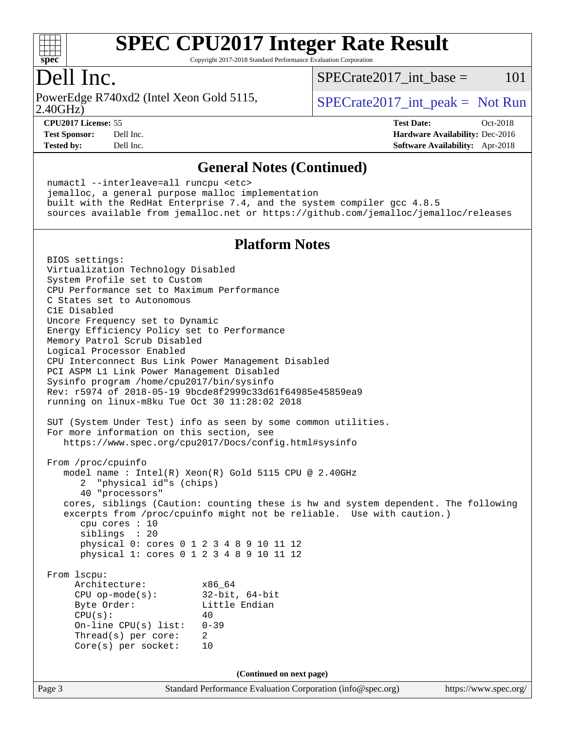

Copyright 2017-2018 Standard Performance Evaluation Corporation

### Dell Inc.

2.40GHz) PowerEdge R740xd2 (Intel Xeon Gold 5115,  $\vert$  [SPECrate2017\\_int\\_peak =](http://www.spec.org/auto/cpu2017/Docs/result-fields.html#SPECrate2017intpeak) Not Run

 $SPECTate2017\_int\_base = 101$ 

**[CPU2017 License:](http://www.spec.org/auto/cpu2017/Docs/result-fields.html#CPU2017License)** 55 **[Test Date:](http://www.spec.org/auto/cpu2017/Docs/result-fields.html#TestDate)** Oct-2018 **[Test Sponsor:](http://www.spec.org/auto/cpu2017/Docs/result-fields.html#TestSponsor)** Dell Inc. **[Hardware Availability:](http://www.spec.org/auto/cpu2017/Docs/result-fields.html#HardwareAvailability)** Dec-2016 **[Tested by:](http://www.spec.org/auto/cpu2017/Docs/result-fields.html#Testedby)** Dell Inc. **[Software Availability:](http://www.spec.org/auto/cpu2017/Docs/result-fields.html#SoftwareAvailability)** Apr-2018

#### **[General Notes \(Continued\)](http://www.spec.org/auto/cpu2017/Docs/result-fields.html#GeneralNotes)**

 numactl --interleave=all runcpu <etc> jemalloc, a general purpose malloc implementation built with the RedHat Enterprise 7.4, and the system compiler gcc 4.8.5 sources available from jemalloc.net or <https://github.com/jemalloc/jemalloc/releases>

### **[Platform Notes](http://www.spec.org/auto/cpu2017/Docs/result-fields.html#PlatformNotes)**

Page 3 Standard Performance Evaluation Corporation [\(info@spec.org\)](mailto:info@spec.org) <https://www.spec.org/> BIOS settings: Virtualization Technology Disabled System Profile set to Custom CPU Performance set to Maximum Performance C States set to Autonomous C1E Disabled Uncore Frequency set to Dynamic Energy Efficiency Policy set to Performance Memory Patrol Scrub Disabled Logical Processor Enabled CPU Interconnect Bus Link Power Management Disabled PCI ASPM L1 Link Power Management Disabled Sysinfo program /home/cpu2017/bin/sysinfo Rev: r5974 of 2018-05-19 9bcde8f2999c33d61f64985e45859ea9 running on linux-m8ku Tue Oct 30 11:28:02 2018 SUT (System Under Test) info as seen by some common utilities. For more information on this section, see <https://www.spec.org/cpu2017/Docs/config.html#sysinfo> From /proc/cpuinfo model name : Intel(R) Xeon(R) Gold 5115 CPU @ 2.40GHz 2 "physical id"s (chips) 40 "processors" cores, siblings (Caution: counting these is hw and system dependent. The following excerpts from /proc/cpuinfo might not be reliable. Use with caution.) cpu cores : 10 siblings : 20 physical 0: cores 0 1 2 3 4 8 9 10 11 12 physical 1: cores 0 1 2 3 4 8 9 10 11 12 From lscpu: Architecture: x86\_64 CPU op-mode(s): 32-bit, 64-bit Byte Order: Little Endian  $CPU(s):$  40 On-line CPU(s) list: 0-39 Thread(s) per core: 2 Core(s) per socket: 10 **(Continued on next page)**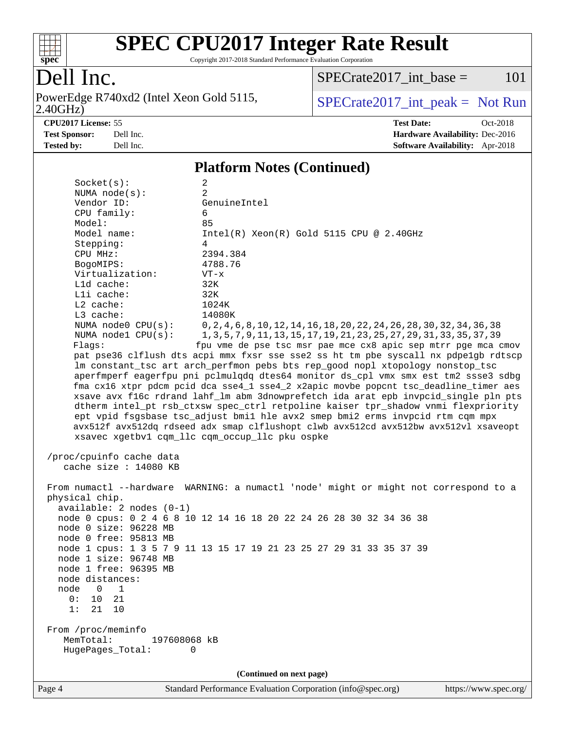

Copyright 2017-2018 Standard Performance Evaluation Corporation

# Dell Inc.

PowerEdge R740xd2 (Intel Xeon Gold 5115, 2.40GHz)

 $SPECTate2017\_int\_base = 101$ 

 $SPECTate 2017\_int\_peak = Not Run$ 

**[CPU2017 License:](http://www.spec.org/auto/cpu2017/Docs/result-fields.html#CPU2017License)** 55 **[Test Date:](http://www.spec.org/auto/cpu2017/Docs/result-fields.html#TestDate)** Oct-2018 **[Test Sponsor:](http://www.spec.org/auto/cpu2017/Docs/result-fields.html#TestSponsor)** Dell Inc. **[Hardware Availability:](http://www.spec.org/auto/cpu2017/Docs/result-fields.html#HardwareAvailability)** Dec-2016 **[Tested by:](http://www.spec.org/auto/cpu2017/Docs/result-fields.html#Testedby)** Dell Inc. **[Software Availability:](http://www.spec.org/auto/cpu2017/Docs/result-fields.html#SoftwareAvailability)** Apr-2018

#### **[Platform Notes \(Continued\)](http://www.spec.org/auto/cpu2017/Docs/result-fields.html#PlatformNotes)**

| Page 4   |                                                                          | Standard Performance Evaluation Corporation (info@spec.org)                                                                                                                                                                                                                                                                                                                                                                                                                                                                                                                                                                                                                                                                                                                                                                                                                                                                                                                          | https://www.spec.org/ |
|----------|--------------------------------------------------------------------------|--------------------------------------------------------------------------------------------------------------------------------------------------------------------------------------------------------------------------------------------------------------------------------------------------------------------------------------------------------------------------------------------------------------------------------------------------------------------------------------------------------------------------------------------------------------------------------------------------------------------------------------------------------------------------------------------------------------------------------------------------------------------------------------------------------------------------------------------------------------------------------------------------------------------------------------------------------------------------------------|-----------------------|
|          |                                                                          | (Continued on next page)                                                                                                                                                                                                                                                                                                                                                                                                                                                                                                                                                                                                                                                                                                                                                                                                                                                                                                                                                             |                       |
|          | From /proc/meminfo<br>MemTotal:<br>197608068 kB<br>HugePages_Total:<br>0 |                                                                                                                                                                                                                                                                                                                                                                                                                                                                                                                                                                                                                                                                                                                                                                                                                                                                                                                                                                                      |                       |
| 0:<br>1: | 10<br>21<br>21<br>10                                                     |                                                                                                                                                                                                                                                                                                                                                                                                                                                                                                                                                                                                                                                                                                                                                                                                                                                                                                                                                                                      |                       |
|          | node 0 1                                                                 |                                                                                                                                                                                                                                                                                                                                                                                                                                                                                                                                                                                                                                                                                                                                                                                                                                                                                                                                                                                      |                       |
|          | node 1 free: 96395 MB<br>node distances:                                 |                                                                                                                                                                                                                                                                                                                                                                                                                                                                                                                                                                                                                                                                                                                                                                                                                                                                                                                                                                                      |                       |
|          | node 1 size: 96748 MB                                                    |                                                                                                                                                                                                                                                                                                                                                                                                                                                                                                                                                                                                                                                                                                                                                                                                                                                                                                                                                                                      |                       |
|          |                                                                          | node 1 cpus: 1 3 5 7 9 11 13 15 17 19 21 23 25 27 29 31 33 35 37 39                                                                                                                                                                                                                                                                                                                                                                                                                                                                                                                                                                                                                                                                                                                                                                                                                                                                                                                  |                       |
|          | node 0 free: 95813 MB                                                    |                                                                                                                                                                                                                                                                                                                                                                                                                                                                                                                                                                                                                                                                                                                                                                                                                                                                                                                                                                                      |                       |
|          | node 0 size: 96228 MB                                                    |                                                                                                                                                                                                                                                                                                                                                                                                                                                                                                                                                                                                                                                                                                                                                                                                                                                                                                                                                                                      |                       |
|          | $available: 2 nodes (0-1)$                                               | node 0 cpus: 0 2 4 6 8 10 12 14 16 18 20 22 24 26 28 30 32 34 36 38                                                                                                                                                                                                                                                                                                                                                                                                                                                                                                                                                                                                                                                                                                                                                                                                                                                                                                                  |                       |
|          | physical chip.                                                           |                                                                                                                                                                                                                                                                                                                                                                                                                                                                                                                                                                                                                                                                                                                                                                                                                                                                                                                                                                                      |                       |
|          |                                                                          | From numactl --hardware WARNING: a numactl 'node' might or might not correspond to a                                                                                                                                                                                                                                                                                                                                                                                                                                                                                                                                                                                                                                                                                                                                                                                                                                                                                                 |                       |
|          | /proc/cpuinfo cache data<br>cache size : 14080 KB                        |                                                                                                                                                                                                                                                                                                                                                                                                                                                                                                                                                                                                                                                                                                                                                                                                                                                                                                                                                                                      |                       |
|          | NUMA node0 CPU(s):<br>NUMA nodel $CPU(s):$<br>Flags:                     | 0, 2, 4, 6, 8, 10, 12, 14, 16, 18, 20, 22, 24, 26, 28, 30, 32, 34, 36, 38<br>1, 3, 5, 7, 9, 11, 13, 15, 17, 19, 21, 23, 25, 27, 29, 31, 33, 35, 37, 39<br>fpu vme de pse tsc msr pae mce cx8 apic sep mtrr pge mca cmov<br>pat pse36 clflush dts acpi mmx fxsr sse sse2 ss ht tm pbe syscall nx pdpelgb rdtscp<br>lm constant_tsc art arch_perfmon pebs bts rep_good nopl xtopology nonstop_tsc<br>aperfmperf eagerfpu pni pclmulqdq dtes64 monitor ds_cpl vmx smx est tm2 ssse3 sdbg<br>fma cx16 xtpr pdcm pcid dca sse4_1 sse4_2 x2apic movbe popcnt tsc_deadline_timer aes<br>xsave avx f16c rdrand lahf_lm abm 3dnowprefetch ida arat epb invpcid_single pln pts<br>dtherm intel_pt rsb_ctxsw spec_ctrl retpoline kaiser tpr_shadow vnmi flexpriority<br>ept vpid fsgsbase tsc_adjust bmil hle avx2 smep bmi2 erms invpcid rtm cqm mpx<br>avx512f avx512dq rdseed adx smap clflushopt clwb avx512cd avx512bw avx512vl xsaveopt<br>xsavec xgetbvl cqm_llc cqm_occup_llc pku ospke |                       |
|          | L3 cache:                                                                | 14080K                                                                                                                                                                                                                                                                                                                                                                                                                                                                                                                                                                                                                                                                                                                                                                                                                                                                                                                                                                               |                       |
|          | Lli cache:<br>L2 cache:                                                  | 32K<br>1024K                                                                                                                                                                                                                                                                                                                                                                                                                                                                                                                                                                                                                                                                                                                                                                                                                                                                                                                                                                         |                       |
|          | L1d cache:                                                               | 32K                                                                                                                                                                                                                                                                                                                                                                                                                                                                                                                                                                                                                                                                                                                                                                                                                                                                                                                                                                                  |                       |
|          | Virtualization:                                                          | $VT - x$                                                                                                                                                                                                                                                                                                                                                                                                                                                                                                                                                                                                                                                                                                                                                                                                                                                                                                                                                                             |                       |
|          | BogoMIPS:                                                                | 4788.76                                                                                                                                                                                                                                                                                                                                                                                                                                                                                                                                                                                                                                                                                                                                                                                                                                                                                                                                                                              |                       |
|          | CPU MHz:                                                                 | 2394.384                                                                                                                                                                                                                                                                                                                                                                                                                                                                                                                                                                                                                                                                                                                                                                                                                                                                                                                                                                             |                       |
|          | Model name:<br>Stepping:                                                 | $Intel(R)$ Xeon $(R)$ Gold 5115 CPU @ 2.40GHz<br>4                                                                                                                                                                                                                                                                                                                                                                                                                                                                                                                                                                                                                                                                                                                                                                                                                                                                                                                                   |                       |
|          | Model:                                                                   | 85                                                                                                                                                                                                                                                                                                                                                                                                                                                                                                                                                                                                                                                                                                                                                                                                                                                                                                                                                                                   |                       |
|          | CPU family:                                                              | 6                                                                                                                                                                                                                                                                                                                                                                                                                                                                                                                                                                                                                                                                                                                                                                                                                                                                                                                                                                                    |                       |
|          | NUMA $node(s):$<br>Vendor ID:                                            | GenuineIntel                                                                                                                                                                                                                                                                                                                                                                                                                                                                                                                                                                                                                                                                                                                                                                                                                                                                                                                                                                         |                       |
|          | Socket(s):                                                               | $\overline{a}$<br>2                                                                                                                                                                                                                                                                                                                                                                                                                                                                                                                                                                                                                                                                                                                                                                                                                                                                                                                                                                  |                       |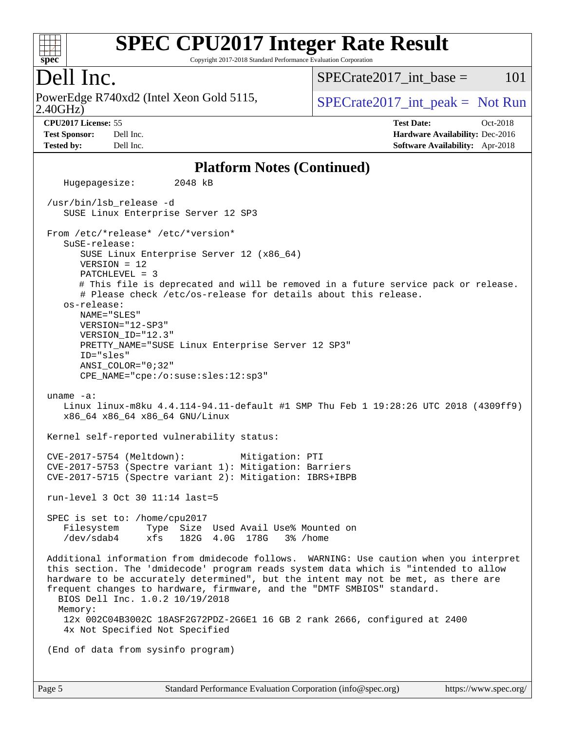

Copyright 2017-2018 Standard Performance Evaluation Corporation

### Dell Inc.

2.40GHz) PowerEdge R740xd2 (Intel Xeon Gold 5115,  $\text{SPECrate2017\_int\_peak} = \text{Not Run}$ 

 $SPECTate2017$  int base = 101

**[CPU2017 License:](http://www.spec.org/auto/cpu2017/Docs/result-fields.html#CPU2017License)** 55 **[Test Date:](http://www.spec.org/auto/cpu2017/Docs/result-fields.html#TestDate)** Oct-2018 **[Test Sponsor:](http://www.spec.org/auto/cpu2017/Docs/result-fields.html#TestSponsor)** Dell Inc. **[Hardware Availability:](http://www.spec.org/auto/cpu2017/Docs/result-fields.html#HardwareAvailability)** Dec-2016 **[Tested by:](http://www.spec.org/auto/cpu2017/Docs/result-fields.html#Testedby)** Dell Inc. **[Software Availability:](http://www.spec.org/auto/cpu2017/Docs/result-fields.html#SoftwareAvailability)** Apr-2018

#### **[Platform Notes \(Continued\)](http://www.spec.org/auto/cpu2017/Docs/result-fields.html#PlatformNotes)**

 Hugepagesize: 2048 kB /usr/bin/lsb\_release -d SUSE Linux Enterprise Server 12 SP3 From /etc/\*release\* /etc/\*version\* SuSE-release: SUSE Linux Enterprise Server 12 (x86\_64) VERSION = 12 PATCHLEVEL = 3 # This file is deprecated and will be removed in a future service pack or release. # Please check /etc/os-release for details about this release. os-release: NAME="SLES" VERSION="12-SP3" VERSION\_ID="12.3" PRETTY\_NAME="SUSE Linux Enterprise Server 12 SP3" ID="sles" ANSI\_COLOR="0;32" CPE\_NAME="cpe:/o:suse:sles:12:sp3" uname -a: Linux linux-m8ku 4.4.114-94.11-default #1 SMP Thu Feb 1 19:28:26 UTC 2018 (4309ff9) x86\_64 x86\_64 x86\_64 GNU/Linux Kernel self-reported vulnerability status: CVE-2017-5754 (Meltdown): Mitigation: PTI CVE-2017-5753 (Spectre variant 1): Mitigation: Barriers CVE-2017-5715 (Spectre variant 2): Mitigation: IBRS+IBPB run-level 3 Oct 30 11:14 last=5 SPEC is set to: /home/cpu2017 Filesystem Type Size Used Avail Use% Mounted on /dev/sdab4 xfs 182G 4.0G 178G 3% /home Additional information from dmidecode follows. WARNING: Use caution when you interpret this section. The 'dmidecode' program reads system data which is "intended to allow hardware to be accurately determined", but the intent may not be met, as there are frequent changes to hardware, firmware, and the "DMTF SMBIOS" standard. BIOS Dell Inc. 1.0.2 10/19/2018 Memory: 12x 002C04B3002C 18ASF2G72PDZ-2G6E1 16 GB 2 rank 2666, configured at 2400 4x Not Specified Not Specified (End of data from sysinfo program)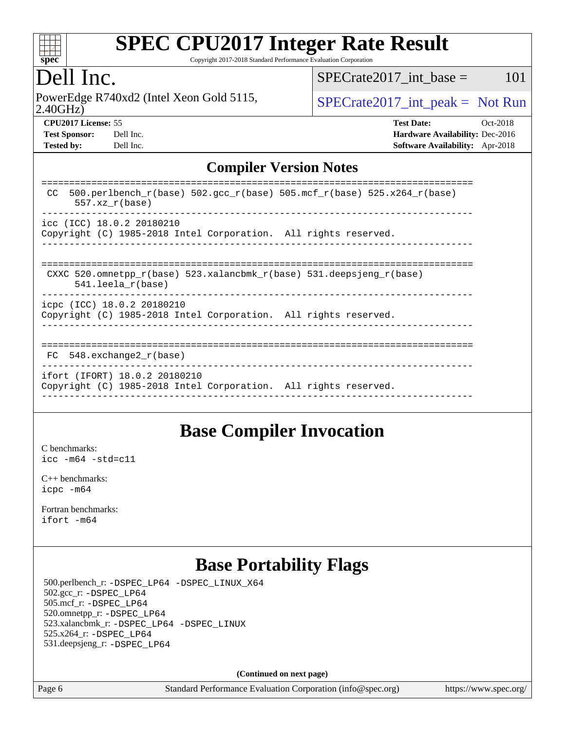

Copyright 2017-2018 Standard Performance Evaluation Corporation

# Dell Inc.

2.40GHz) PowerEdge R740xd2 (Intel Xeon Gold 5115,  $\vert$  [SPECrate2017\\_int\\_peak =](http://www.spec.org/auto/cpu2017/Docs/result-fields.html#SPECrate2017intpeak) Not Run

 $SPECTate2017\_int\_base = 101$ 

**[Tested by:](http://www.spec.org/auto/cpu2017/Docs/result-fields.html#Testedby)** Dell Inc. **[Software Availability:](http://www.spec.org/auto/cpu2017/Docs/result-fields.html#SoftwareAvailability)** Apr-2018

**[CPU2017 License:](http://www.spec.org/auto/cpu2017/Docs/result-fields.html#CPU2017License)** 55 **[Test Date:](http://www.spec.org/auto/cpu2017/Docs/result-fields.html#TestDate)** Oct-2018 **[Test Sponsor:](http://www.spec.org/auto/cpu2017/Docs/result-fields.html#TestSponsor)** Dell Inc. **[Hardware Availability:](http://www.spec.org/auto/cpu2017/Docs/result-fields.html#HardwareAvailability)** Dec-2016

### **[Compiler Version Notes](http://www.spec.org/auto/cpu2017/Docs/result-fields.html#CompilerVersionNotes)**

| 500.perlbench $r(base)$ 502.qcc $r(base)$ 505.mcf $r(base)$ 525.x264 $r(base)$<br>CC<br>$557.xx$ $r(base)$ |
|------------------------------------------------------------------------------------------------------------|
| $\text{icc}$ (ICC) 18.0.2 20180210<br>Copyright (C) 1985-2018 Intel Corporation. All rights reserved.      |
| CXXC 520.omnetpp $r(base)$ 523.xalancbmk $r(base)$ 531.deepsjeng $r(base)$<br>$541.$ leela $r(base)$       |
| icpc (ICC) 18.0.2 20180210<br>Copyright (C) 1985-2018 Intel Corporation. All rights reserved.              |
| FC 548. exchange2 r(base)                                                                                  |
| ifort (IFORT) 18.0.2 20180210<br>Copyright (C) 1985-2018 Intel Corporation. All rights reserved.           |

### **[Base Compiler Invocation](http://www.spec.org/auto/cpu2017/Docs/result-fields.html#BaseCompilerInvocation)**

[C benchmarks](http://www.spec.org/auto/cpu2017/Docs/result-fields.html#Cbenchmarks): [icc -m64 -std=c11](http://www.spec.org/cpu2017/results/res2018q4/cpu2017-20181112-09547.flags.html#user_CCbase_intel_icc_64bit_c11_33ee0cdaae7deeeab2a9725423ba97205ce30f63b9926c2519791662299b76a0318f32ddfffdc46587804de3178b4f9328c46fa7c2b0cd779d7a61945c91cd35)

[C++ benchmarks:](http://www.spec.org/auto/cpu2017/Docs/result-fields.html#CXXbenchmarks) [icpc -m64](http://www.spec.org/cpu2017/results/res2018q4/cpu2017-20181112-09547.flags.html#user_CXXbase_intel_icpc_64bit_4ecb2543ae3f1412ef961e0650ca070fec7b7afdcd6ed48761b84423119d1bf6bdf5cad15b44d48e7256388bc77273b966e5eb805aefd121eb22e9299b2ec9d9)

[Fortran benchmarks](http://www.spec.org/auto/cpu2017/Docs/result-fields.html#Fortranbenchmarks): [ifort -m64](http://www.spec.org/cpu2017/results/res2018q4/cpu2017-20181112-09547.flags.html#user_FCbase_intel_ifort_64bit_24f2bb282fbaeffd6157abe4f878425411749daecae9a33200eee2bee2fe76f3b89351d69a8130dd5949958ce389cf37ff59a95e7a40d588e8d3a57e0c3fd751)

# **[Base Portability Flags](http://www.spec.org/auto/cpu2017/Docs/result-fields.html#BasePortabilityFlags)**

 500.perlbench\_r: [-DSPEC\\_LP64](http://www.spec.org/cpu2017/results/res2018q4/cpu2017-20181112-09547.flags.html#b500.perlbench_r_basePORTABILITY_DSPEC_LP64) [-DSPEC\\_LINUX\\_X64](http://www.spec.org/cpu2017/results/res2018q4/cpu2017-20181112-09547.flags.html#b500.perlbench_r_baseCPORTABILITY_DSPEC_LINUX_X64) 502.gcc\_r: [-DSPEC\\_LP64](http://www.spec.org/cpu2017/results/res2018q4/cpu2017-20181112-09547.flags.html#suite_basePORTABILITY502_gcc_r_DSPEC_LP64) 505.mcf\_r: [-DSPEC\\_LP64](http://www.spec.org/cpu2017/results/res2018q4/cpu2017-20181112-09547.flags.html#suite_basePORTABILITY505_mcf_r_DSPEC_LP64) 520.omnetpp\_r: [-DSPEC\\_LP64](http://www.spec.org/cpu2017/results/res2018q4/cpu2017-20181112-09547.flags.html#suite_basePORTABILITY520_omnetpp_r_DSPEC_LP64) 523.xalancbmk\_r: [-DSPEC\\_LP64](http://www.spec.org/cpu2017/results/res2018q4/cpu2017-20181112-09547.flags.html#suite_basePORTABILITY523_xalancbmk_r_DSPEC_LP64) [-DSPEC\\_LINUX](http://www.spec.org/cpu2017/results/res2018q4/cpu2017-20181112-09547.flags.html#b523.xalancbmk_r_baseCXXPORTABILITY_DSPEC_LINUX) 525.x264\_r: [-DSPEC\\_LP64](http://www.spec.org/cpu2017/results/res2018q4/cpu2017-20181112-09547.flags.html#suite_basePORTABILITY525_x264_r_DSPEC_LP64) 531.deepsjeng\_r: [-DSPEC\\_LP64](http://www.spec.org/cpu2017/results/res2018q4/cpu2017-20181112-09547.flags.html#suite_basePORTABILITY531_deepsjeng_r_DSPEC_LP64)

**(Continued on next page)**

Page 6 Standard Performance Evaluation Corporation [\(info@spec.org\)](mailto:info@spec.org) <https://www.spec.org/>